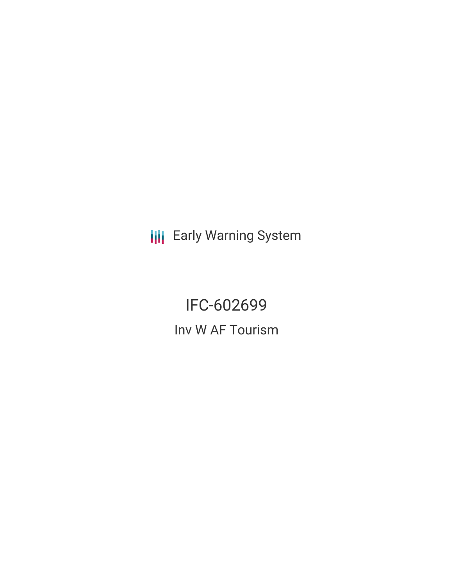**III** Early Warning System

IFC-602699 Inv W AF Tourism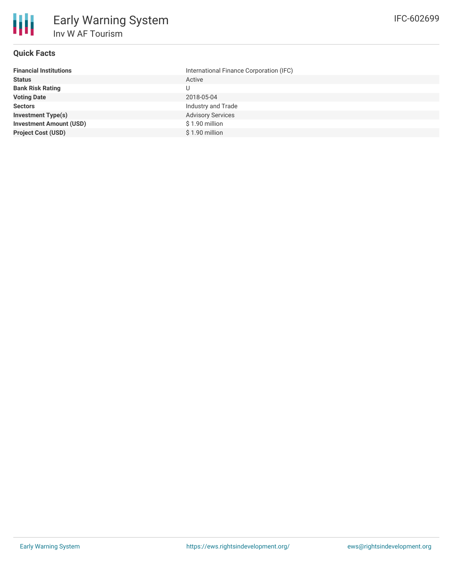

# **Quick Facts**

| International Finance Corporation (IFC) |
|-----------------------------------------|
| Active                                  |
| U                                       |
| 2018-05-04                              |
| Industry and Trade                      |
| <b>Advisory Services</b>                |
| \$1.90 million                          |
| \$1.90 million                          |
|                                         |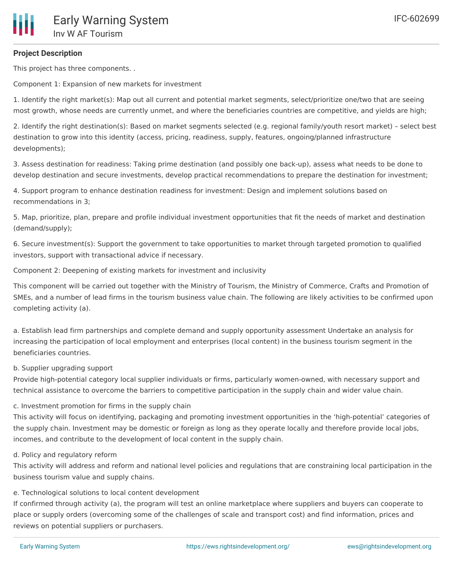This project has three components. .

Component 1: Expansion of new markets for investment

1. Identify the right market(s): Map out all current and potential market segments, select/prioritize one/two that are seeing most growth, whose needs are currently unmet, and where the beneficiaries countries are competitive, and yields are high;

2. Identify the right destination(s): Based on market segments selected (e.g. regional family/youth resort market) – select best destination to grow into this identity (access, pricing, readiness, supply, features, ongoing/planned infrastructure developments);

3. Assess destination for readiness: Taking prime destination (and possibly one back-up), assess what needs to be done to develop destination and secure investments, develop practical recommendations to prepare the destination for investment;

4. Support program to enhance destination readiness for investment: Design and implement solutions based on recommendations in 3;

5. Map, prioritize, plan, prepare and profile individual investment opportunities that fit the needs of market and destination (demand/supply);

6. Secure investment(s): Support the government to take opportunities to market through targeted promotion to qualified investors, support with transactional advice if necessary.

Component 2: Deepening of existing markets for investment and inclusivity

This component will be carried out together with the Ministry of Tourism, the Ministry of Commerce, Crafts and Promotion of SMEs, and a number of lead firms in the tourism business value chain. The following are likely activities to be confirmed upon completing activity (a).

a. Establish lead firm partnerships and complete demand and supply opportunity assessment Undertake an analysis for increasing the participation of local employment and enterprises (local content) in the business tourism segment in the beneficiaries countries.

b. Supplier upgrading support

Provide high-potential category local supplier individuals or firms, particularly women-owned, with necessary support and technical assistance to overcome the barriers to competitive participation in the supply chain and wider value chain.

c. Investment promotion for firms in the supply chain

This activity will focus on identifying, packaging and promoting investment opportunities in the 'high-potential' categories of the supply chain. Investment may be domestic or foreign as long as they operate locally and therefore provide local jobs, incomes, and contribute to the development of local content in the supply chain.

d. Policy and regulatory reform

This activity will address and reform and national level policies and regulations that are constraining local participation in the business tourism value and supply chains.

e. Technological solutions to local content development

If confirmed through activity (a), the program will test an online marketplace where suppliers and buyers can cooperate to place or supply orders (overcoming some of the challenges of scale and transport cost) and find information, prices and reviews on potential suppliers or purchasers.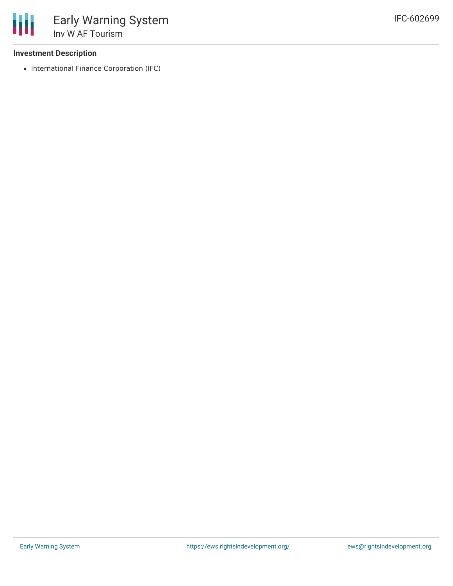#### **Investment Description**

• International Finance Corporation (IFC)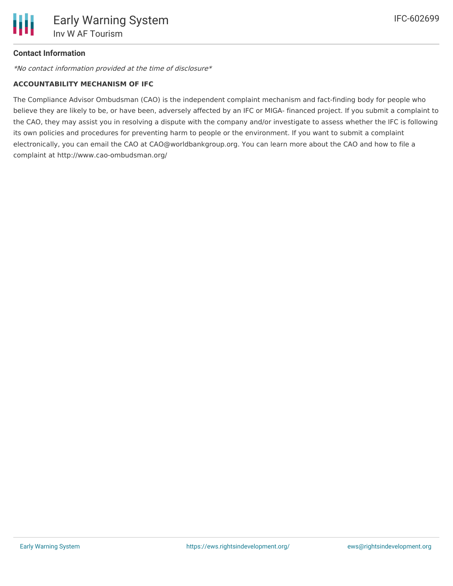# **Contact Information**

\*No contact information provided at the time of disclosure\*

#### **ACCOUNTABILITY MECHANISM OF IFC**

The Compliance Advisor Ombudsman (CAO) is the independent complaint mechanism and fact-finding body for people who believe they are likely to be, or have been, adversely affected by an IFC or MIGA- financed project. If you submit a complaint to the CAO, they may assist you in resolving a dispute with the company and/or investigate to assess whether the IFC is following its own policies and procedures for preventing harm to people or the environment. If you want to submit a complaint electronically, you can email the CAO at CAO@worldbankgroup.org. You can learn more about the CAO and how to file a complaint at http://www.cao-ombudsman.org/